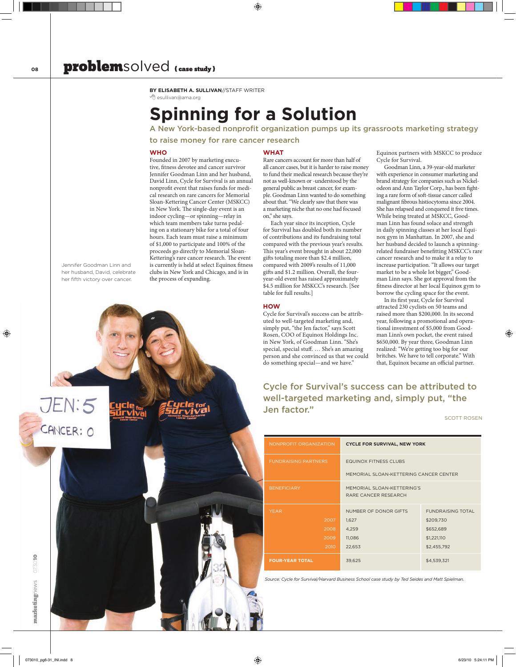**By Elisabeth A. Sullivan**//Staff Writer A esullivan@ama.org

## **Spinning for a Solution**

**WHAT** 

on," she says.

table for full results.]

**HOW**

A New York-based nonprofit organization pumps up its grassroots marketing strategy to raise money for rare cancer research

> Rare cancers account for more than half of all cancer cases, but it is harder to raise money to fund their medical research because they're not as well-known or -understood by the general public as breast cancer, for example. Goodman Linn wanted to do something about that. "We clearly saw that there was a marketing niche that no one had focused

Each year since its inception, Cycle for Survival has doubled both its number of contributions and its fundraising total compared with the previous year's results. This year's event brought in about 22,000 gifts totaling more than \$2.4 million, compared with 2009's results of 11,000 gifts and \$1.2 million. Overall, the fouryear-old event has raised approximately \$4.5 million for MSKCC's research. [See

#### **WHO**

Founded in 2007 by marketing executive, fitness devotee and cancer survivor Jennifer Goodman Linn and her husband, David Linn, Cycle for Survival is an annual nonprofit event that raises funds for medical research on rare cancers for Memorial Sloan-Kettering Cancer Center (MSKCC) in New York. The single-day event is an indoor cycling—or spinning—relay in which team members take turns pedaling on a stationary bike for a total of four hours. Each team must raise a minimum of \$1,000 to participate and 100% of the proceeds go directly to Memorial Sloan-Kettering's rare cancer research. The event is currently is held at select Equinox fitness clubs in New York and Chicago, and is in the process of expanding.

Jennifer Goodman Linn and her husband, David, celebrate her fifth victory over cancer.

Equinox partners with MSKCC to produce Cycle for Survival.

Goodman Linn, a 39-year-old marketer with experience in consumer marketing and brand strategy for companies such as Nickelodeon and Ann Taylor Corp., has been fighting a rare form of soft-tissue cancer called malignant fibrous histiocytoma since 2004. She has relapsed and conquered it five times. While being treated at MSKCC, Goodman Linn has found solace and strength in daily spinning classes at her local Equinox gym in Manhattan. In 2007, she and her husband decided to launch a spinningrelated fundraiser benefitting MSKCC's rare cancer research and to make it a relay to increase participation. "It allows our target market to be a whole lot bigger," Goodman Linn says. She got approval from the fitness director at her local Equinox gym to borrow the cycling space for the event.

In its first year, Cycle for Survival attracted 230 cyclists on 50 teams and raised more than \$200,000. In its second year, following a promotional and operational investment of \$5,000 from Goodman Linn's own pocket, the event raised \$650,000. By year three, Goodman Linn realized: "We're getting too big for our britches. We have to tell corporate." With that, Equinox became an official partner.

Cycle for Survival's success can be attributed to well-targeted marketing and, simply put, "the Jen factor."

Scott Rosen

| NONPROFIT ORGANIZATION      | <b>CYCLE FOR SURVIVAL, NEW YORK</b>                |                          |
|-----------------------------|----------------------------------------------------|--------------------------|
| <b>FUNDRAISING PARTNERS</b> | <b>EQUINOX FITNESS CLUBS</b>                       |                          |
|                             | MEMORIAL SLOAN-KETTERING CANCER CENTER             |                          |
| <b>BENEFICIARY</b>          | MEMORIAL SLOAN-KETTERING'S<br>RARE CANCER RESEARCH |                          |
| <b>YEAR</b>                 | NUMBER OF DONOR GIFTS                              | <b>FUNDRAISING TOTAL</b> |
| 2007                        | 1,627                                              | \$209,730                |
| 2008                        | 4,259                                              | \$652,689                |
| 2009                        | 11,086                                             | \$1,221,110              |
| 2010                        | 22,653                                             | \$2,455,792              |
| <b>FOUR-YEAR TOTAL</b>      | 39,625                                             | \$4,539,321              |

*Source: Cycle for Survival/Harvard Business School case study by Ted Seides and Matt Spielman.*